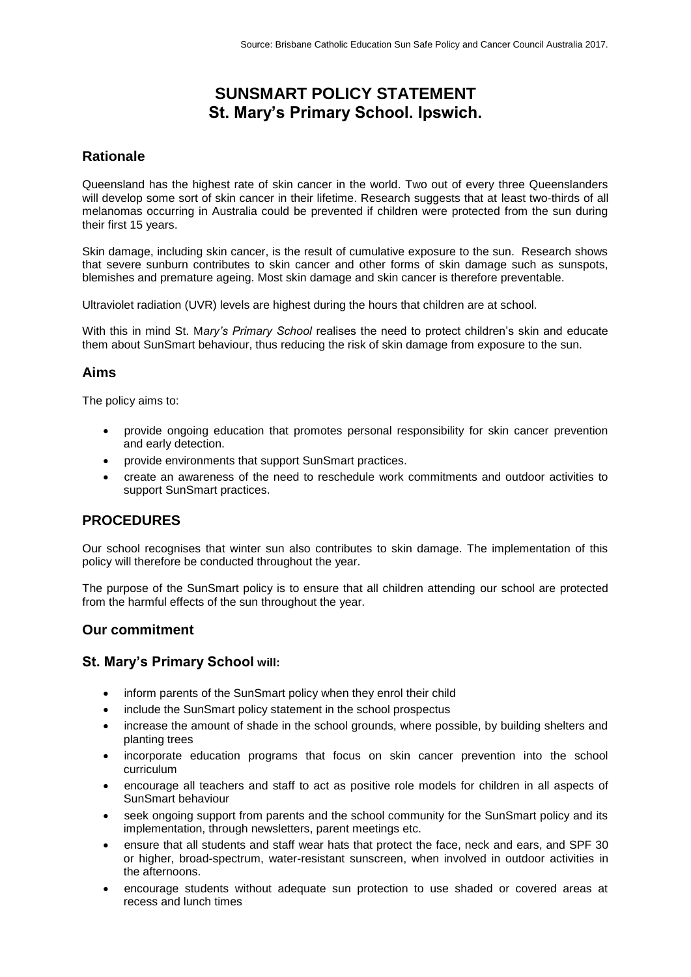# **SUNSMART POLICY STATEMENT St. Mary's Primary School. Ipswich.**

## **Rationale**

Queensland has the highest rate of skin cancer in the world. Two out of every three Queenslanders will develop some sort of skin cancer in their lifetime. Research suggests that at least two-thirds of all melanomas occurring in Australia could be prevented if children were protected from the sun during their first 15 years.

Skin damage, including skin cancer, is the result of cumulative exposure to the sun. Research shows that severe sunburn contributes to skin cancer and other forms of skin damage such as sunspots, blemishes and premature ageing. Most skin damage and skin cancer is therefore preventable.

Ultraviolet radiation (UVR) levels are highest during the hours that children are at school.

With this in mind St. M*ary's Primary School* realises the need to protect children's skin and educate them about SunSmart behaviour, thus reducing the risk of skin damage from exposure to the sun.

### **Aims**

The policy aims to:

- provide ongoing education that promotes personal responsibility for skin cancer prevention and early detection.
- provide environments that support SunSmart practices.
- create an awareness of the need to reschedule work commitments and outdoor activities to support SunSmart practices.

## **PROCEDURES**

Our school recognises that winter sun also contributes to skin damage. The implementation of this policy will therefore be conducted throughout the year.

The purpose of the SunSmart policy is to ensure that all children attending our school are protected from the harmful effects of the sun throughout the year.

#### **Our commitment**

#### **St. Mary's Primary School will:**

- inform parents of the SunSmart policy when they enrol their child
- include the SunSmart policy statement in the school prospectus
- increase the amount of shade in the school grounds, where possible, by building shelters and planting trees
- incorporate education programs that focus on skin cancer prevention into the school curriculum
- encourage all teachers and staff to act as positive role models for children in all aspects of SunSmart behaviour
- seek ongoing support from parents and the school community for the SunSmart policy and its implementation, through newsletters, parent meetings etc.
- ensure that all students and staff wear hats that protect the face, neck and ears, and SPF 30 or higher, broad-spectrum, water-resistant sunscreen, when involved in outdoor activities in the afternoons.
- encourage students without adequate sun protection to use shaded or covered areas at recess and lunch times